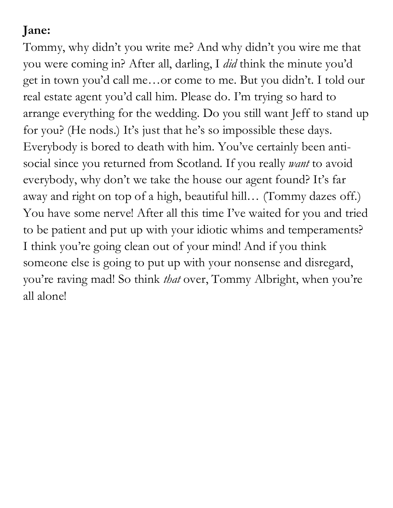### **Jane:**

Tommy, why didn't you write me? And why didn't you wire me that you were coming in? After all, darling, I *did* think the minute you'd get in town you'd call me…or come to me. But you didn't. I told our real estate agent you'd call him. Please do. I'm trying so hard to arrange everything for the wedding. Do you still want Jeff to stand up for you? (He nods.) It's just that he's so impossible these days. Everybody is bored to death with him. You've certainly been antisocial since you returned from Scotland. If you really *want* to avoid everybody, why don't we take the house our agent found? It's far away and right on top of a high, beautiful hill… (Tommy dazes off.) You have some nerve! After all this time I've waited for you and tried to be patient and put up with your idiotic whims and temperaments? I think you're going clean out of your mind! And if you think someone else is going to put up with your nonsense and disregard, you're raving mad! So think *that* over, Tommy Albright, when you're all alone!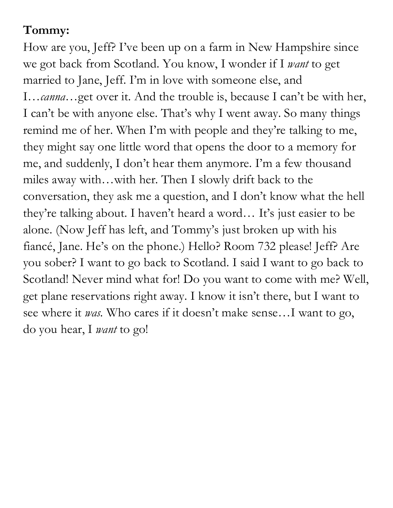#### **Tommy:**

How are you, Jeff? I've been up on a farm in New Hampshire since we got back from Scotland. You know, I wonder if I *want* to get married to Jane, Jeff. I'm in love with someone else, and I…*canna*…get over it. And the trouble is, because I can't be with her, I can't be with anyone else. That's why I went away. So many things remind me of her. When I'm with people and they're talking to me, they might say one little word that opens the door to a memory for me, and suddenly, I don't hear them anymore. I'm a few thousand miles away with…with her. Then I slowly drift back to the conversation, they ask me a question, and I don't know what the hell they're talking about. I haven't heard a word… It's just easier to be alone. (Now Jeff has left, and Tommy's just broken up with his fiancé, Jane. He's on the phone.) Hello? Room 732 please! Jeff? Are you sober? I want to go back to Scotland. I said I want to go back to Scotland! Never mind what for! Do you want to come with me? Well, get plane reservations right away. I know it isn't there, but I want to see where it *was.* Who cares if it doesn't make sense…I want to go, do you hear, I *want* to go!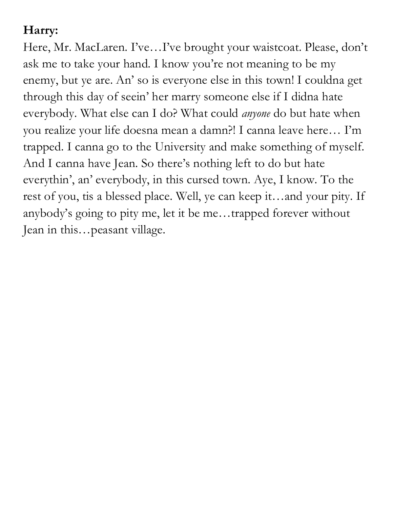## **Harry:**

Here, Mr. MacLaren. I've…I've brought your waistcoat. Please, don't ask me to take your hand. I know you're not meaning to be my enemy, but ye are. An' so is everyone else in this town! I couldna get through this day of seein' her marry someone else if I didna hate everybody. What else can I do? What could *anyone* do but hate when you realize your life doesna mean a damn?! I canna leave here… I'm trapped. I canna go to the University and make something of myself. And I canna have Jean. So there's nothing left to do but hate everythin', an' everybody, in this cursed town. Aye, I know. To the rest of you, tis a blessed place. Well, ye can keep it…and your pity. If anybody's going to pity me, let it be me…trapped forever without Jean in this…peasant village.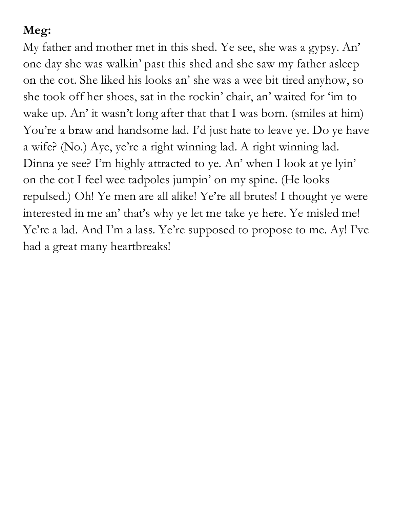# **Meg:**

My father and mother met in this shed. Ye see, she was a gypsy. An' one day she was walkin' past this shed and she saw my father asleep on the cot. She liked his looks an' she was a wee bit tired anyhow, so she took off her shoes, sat in the rockin' chair, an' waited for 'im to wake up. An' it wasn't long after that that I was born. (smiles at him) You're a braw and handsome lad. I'd just hate to leave ye. Do ye have a wife? (No.) Aye, ye're a right winning lad. A right winning lad. Dinna ye see? I'm highly attracted to ye. An' when I look at ye lyin' on the cot I feel wee tadpoles jumpin' on my spine. (He looks repulsed.) Oh! Ye men are all alike! Ye're all brutes! I thought ye were interested in me an' that's why ye let me take ye here. Ye misled me! Ye're a lad. And I'm a lass. Ye're supposed to propose to me. Ay! I've had a great many heartbreaks!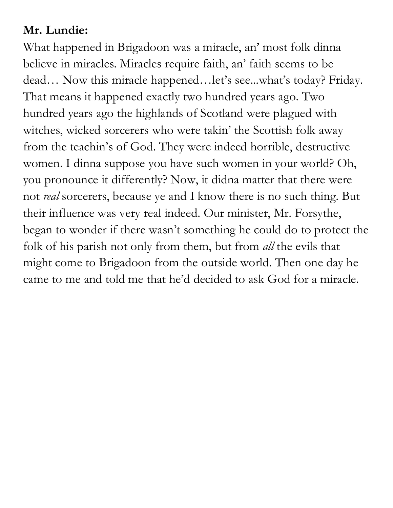### **Mr. Lundie:**

What happened in Brigadoon was a miracle, an' most folk dinna believe in miracles. Miracles require faith, an' faith seems to be dead… Now this miracle happened…let's see...what's today? Friday. That means it happened exactly two hundred years ago. Two hundred years ago the highlands of Scotland were plagued with witches, wicked sorcerers who were takin' the Scottish folk away from the teachin's of God. They were indeed horrible, destructive women. I dinna suppose you have such women in your world? Oh, you pronounce it differently? Now, it didna matter that there were not *real* sorcerers, because ye and I know there is no such thing. But their influence was very real indeed. Our minister, Mr. Forsythe, began to wonder if there wasn't something he could do to protect the folk of his parish not only from them, but from *all* the evils that might come to Brigadoon from the outside world. Then one day he came to me and told me that he'd decided to ask God for a miracle.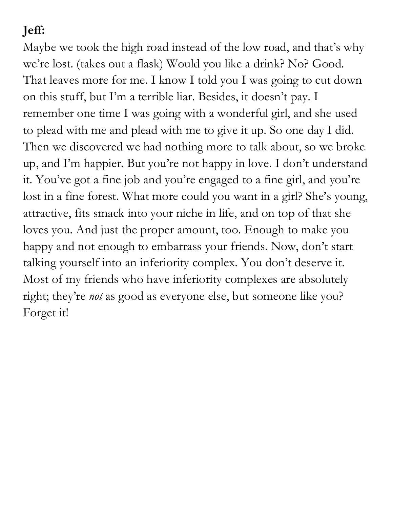# **Jeff:**

Maybe we took the high road instead of the low road, and that's why we're lost. (takes out a flask) Would you like a drink? No? Good. That leaves more for me. I know I told you I was going to cut down on this stuff, but I'm a terrible liar. Besides, it doesn't pay. I remember one time I was going with a wonderful girl, and she used to plead with me and plead with me to give it up. So one day I did. Then we discovered we had nothing more to talk about, so we broke up, and I'm happier. But you're not happy in love. I don't understand it. You've got a fine job and you're engaged to a fine girl, and you're lost in a fine forest. What more could you want in a girl? She's young, attractive, fits smack into your niche in life, and on top of that she loves you. And just the proper amount, too. Enough to make you happy and not enough to embarrass your friends. Now, don't start talking yourself into an inferiority complex. You don't deserve it. Most of my friends who have inferiority complexes are absolutely right; they're *not* as good as everyone else, but someone like you? Forget it!